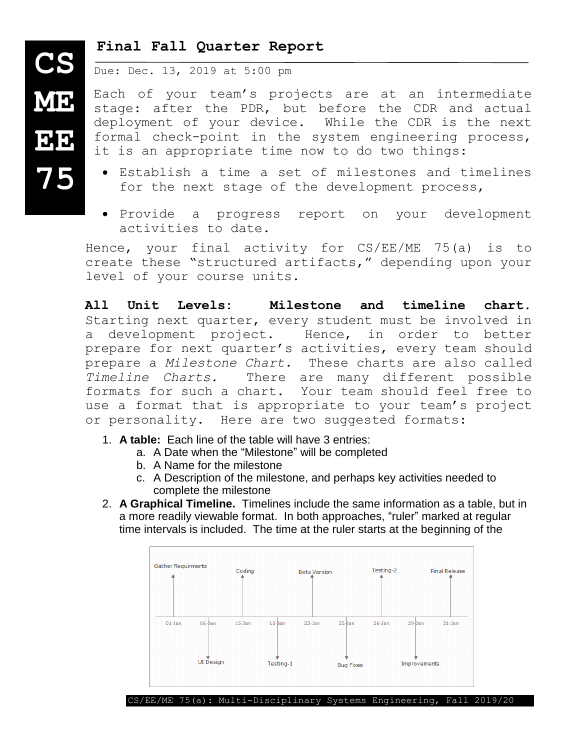## **Final Fall Quarter Report**

Due: Dec. 13, 2019 at 5:00 pm

Each of your team's projects are at an intermediate stage: after the PDR, but before the CDR and actual deployment of your device. While the CDR is the next formal check-point in the system engineering process, it is an appropriate time now to do two things:

- Establish a time a set of milestones and timelines for the next stage of the development process,
- Provide a progress report on your development activities to date.

Hence, your final activity for CS/EE/ME 75(a) is to create these "structured artifacts," depending upon your level of your course units.

**All Unit Levels: Milestone and timeline chart.**  Starting next quarter, every student must be involved in a development project. Hence, in order to better prepare for next quarter's activities, every team should prepare a *Milestone Chart.* These charts are also called *Timeline Charts.* There are many different possible formats for such a chart. Your team should feel free to use a format that is appropriate to your team's project or personality. Here are two suggested formats:

- 1. **A table:** Each line of the table will have 3 entries:
	- a. A Date when the "Milestone" will be completed
	- b. A Name for the milestone
	- c. A Description of the milestone, and perhaps key activities needed to complete the milestone
- 2. **A Graphical Timeline.** Timelines include the same information as a table, but in a more readily viewable format. In both approaches, "ruler" marked at regular time intervals is included. The time at the ruler starts at the beginning of the



**ME EE 75**

**CS**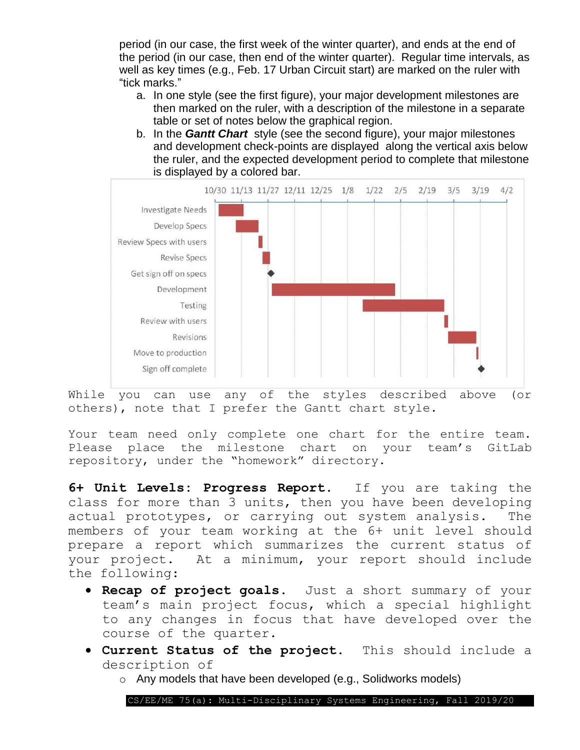period (in our case, the first week of the winter quarter), and ends at the end of the period (in our case, then end of the winter quarter). Regular time intervals, as well as key times (e.g., Feb. 17 Urban Circuit start) are marked on the ruler with "tick marks."

- a. In one style (see the first figure), your major development milestones are then marked on the ruler, with a description of the milestone in a separate table or set of notes below the graphical region.
- b. In the *Gantt Chart* style (see the second figure), your major milestones and development check-points are displayed along the vertical axis below the ruler, and the expected development period to complete that milestone is displayed by a colored bar.



While you can use any of the styles described above (or others), note that I prefer the Gantt chart style.

Your team need only complete one chart for the entire team. Please place the milestone chart on your team's GitLab repository, under the "homework" directory.

**6+ Unit Levels: Progress Report.** If you are taking the class for more than 3 units, then you have been developing actual prototypes, or carrying out system analysis. The members of your team working at the 6+ unit level should prepare a report which summarizes the current status of your project. At a minimum, your report should include the following:

- **Recap of project goals.** Just a short summary of your team's main project focus, which a special highlight to any changes in focus that have developed over the course of the quarter.
- **Current Status of the project.** This should include a description of
	- o Any models that have been developed (e.g., Solidworks models)